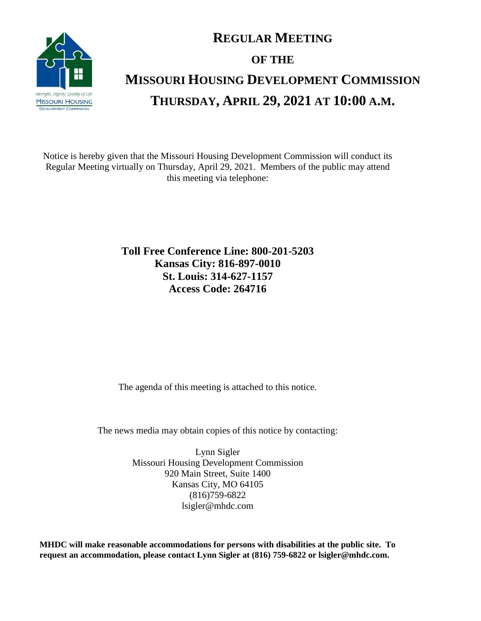

## **REGULAR MEETING OF THE MISSOURI HOUSING DEVELOPMENT COMMISSION THURSDAY, APRIL 29, 2021 AT 10:00 A.M.**

Notice is hereby given that the Missouri Housing Development Commission will conduct its Regular Meeting virtually on Thursday, April 29, 2021. Members of the public may attend this meeting via telephone:

> **Toll Free Conference Line: 800-201-5203 Kansas City: 816-897-0010 St. Louis: 314-627-1157 Access Code: 264716**

The agenda of this meeting is attached to this notice.

The news media may obtain copies of this notice by contacting:

Lynn Sigler Missouri Housing Development Commission 920 Main Street, Suite 1400 Kansas City, MO 64105 (816)759-6822 lsigler@mhdc.com

**MHDC will make reasonable accommodations for persons with disabilities at the public site. To request an accommodation, please contact Lynn Sigler at (816) 759-6822 or lsigler@mhdc.com.**